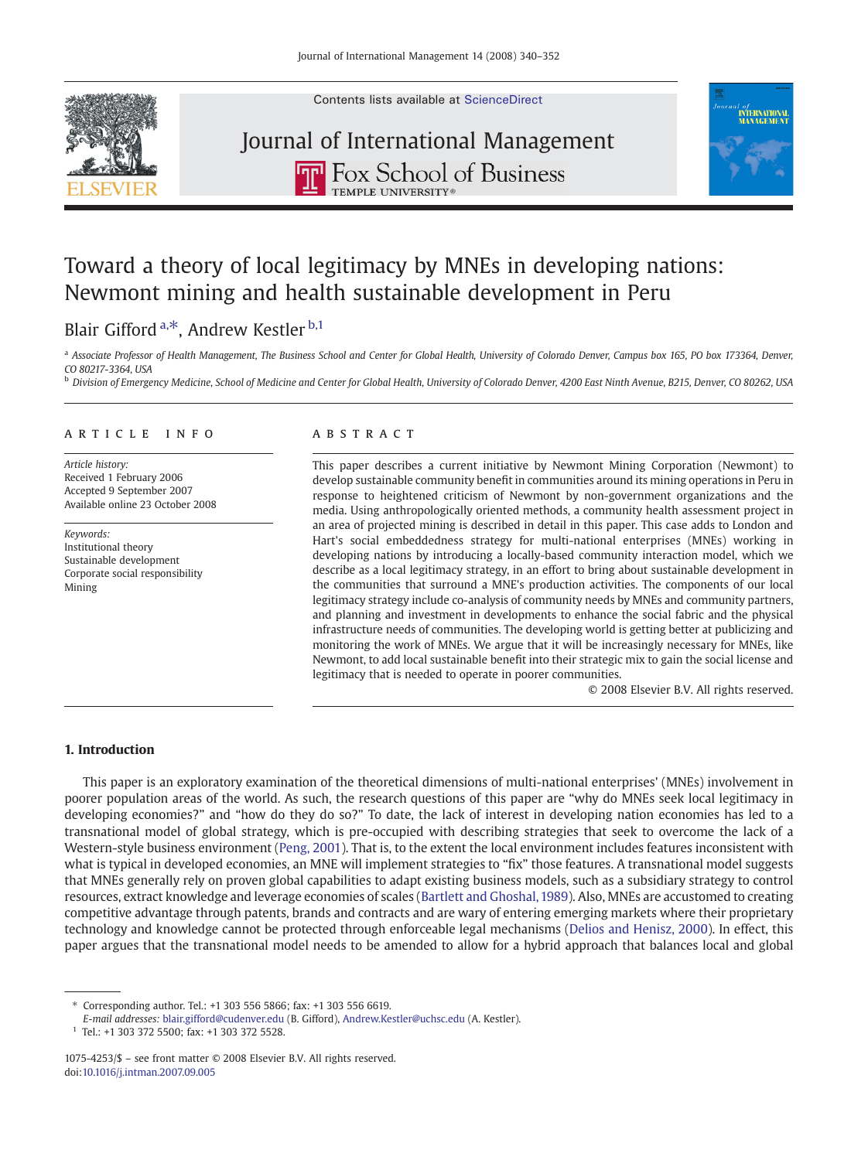Contents lists available at [ScienceDirect](http://www.sciencedirect.com/science/journal/10754253)

# Journal of International Management**THE ROX School of Business**



## Toward a theory of local legitimacy by MNEs in developing nations: Newmont mining and health sustainable development in Peru

Blair Gifford<sup>a,\*</sup>, Andrew Kestler<sup>b,1</sup>

<sup>a</sup> Associate Professor of Health Management, The Business School and Center for Global Health, University of Colorado Denver, Campus box 165, PO box 173364, Denver, CO 80217-3364, USA

<sup>b</sup> Division of Emergency Medicine, School of Medicine and Center for Global Health, University of Colorado Denver, 4200 East Ninth Avenue, B215, Denver, CO 80262, USA

#### article info abstract

Article history: Received 1 February 2006 Accepted 9 September 2007 Available online 23 October 2008

Keywords: Institutional theory Sustainable development Corporate social responsibility Mining

This paper describes a current initiative by Newmont Mining Corporation (Newmont) to develop sustainable community benefit in communities around its mining operations in Peru in response to heightened criticism of Newmont by non-government organizations and the media. Using anthropologically oriented methods, a community health assessment project in an area of projected mining is described in detail in this paper. This case adds to London and Hart's social embeddedness strategy for multi-national enterprises (MNEs) working in developing nations by introducing a locally-based community interaction model, which we describe as a local legitimacy strategy, in an effort to bring about sustainable development in the communities that surround a MNE's production activities. The components of our local legitimacy strategy include co-analysis of community needs by MNEs and community partners, and planning and investment in developments to enhance the social fabric and the physical infrastructure needs of communities. The developing world is getting better at publicizing and monitoring the work of MNEs. We argue that it will be increasingly necessary for MNEs, like Newmont, to add local sustainable benefit into their strategic mix to gain the social license and legitimacy that is needed to operate in poorer communities.

© 2008 Elsevier B.V. All rights reserved.

#### 1. Introduction

This paper is an exploratory examination of the theoretical dimensions of multi-national enterprises' (MNEs) involvement in poorer population areas of the world. As such, the research questions of this paper are "why do MNEs seek local legitimacy in developing economies?" and "how do they do so?" To date, the lack of interest in developing nation economies has led to a transnational model of global strategy, which is pre-occupied with describing strategies that seek to overcome the lack of a Western-style business environment ([Peng, 2001](#page-12-0)). That is, to the extent the local environment includes features inconsistent with what is typical in developed economies, an MNE will implement strategies to "fix" those features. A transnational model suggests that MNEs generally rely on proven global capabilities to adapt existing business models, such as a subsidiary strategy to control resources, extract knowledge and leverage economies of scales [\(Bartlett and Ghoshal, 1989](#page-11-0)). Also, MNEs are accustomed to creating competitive advantage through patents, brands and contracts and are wary of entering emerging markets where their proprietary technology and knowledge cannot be protected through enforceable legal mechanisms [\(Delios and Henisz, 2000\)](#page-12-0). In effect, this paper argues that the transnational model needs to be amended to allow for a hybrid approach that balances local and global

⁎ Corresponding author. Tel.: +1 303 556 5866; fax: +1 303 556 6619.

E-mail addresses: [blair.gifford@cudenver.edu](mailto:blair.gifford@cudenver.edu) (B. Gifford), [Andrew.Kestler@uchsc.edu](mailto:Andrew.Kestler@uchsc.edu) (A. Kestler).

<sup>1</sup> Tel.: +1 303 372 5500; fax: +1 303 372 5528.

<sup>1075-4253/\$</sup> – see front matter © 2008 Elsevier B.V. All rights reserved. doi:[10.1016/j.intman.2007.09.005](http://dx.doi.org/10.1016/j.intman.2007.09.005)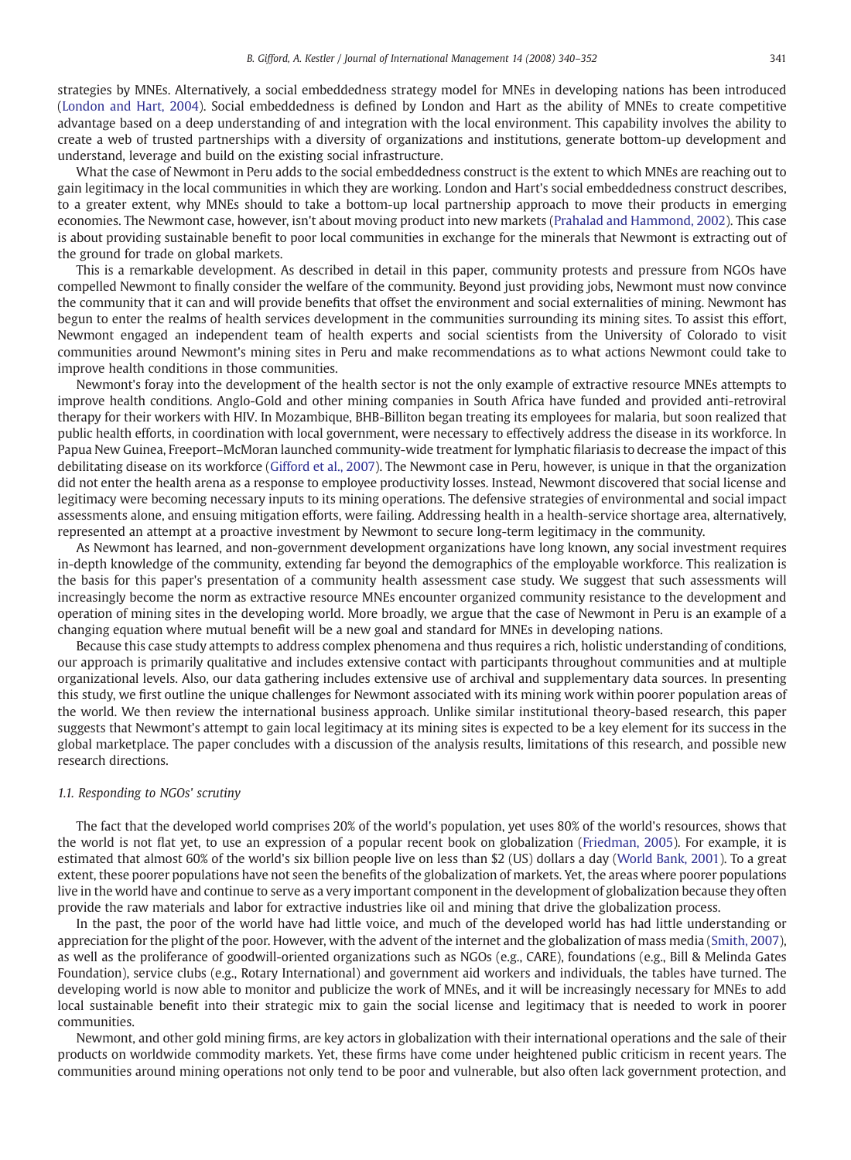strategies by MNEs. Alternatively, a social embeddedness strategy model for MNEs in developing nations has been introduced ([London and Hart, 2004](#page-12-0)). Social embeddedness is defined by London and Hart as the ability of MNEs to create competitive advantage based on a deep understanding of and integration with the local environment. This capability involves the ability to create a web of trusted partnerships with a diversity of organizations and institutions, generate bottom-up development and understand, leverage and build on the existing social infrastructure.

What the case of Newmont in Peru adds to the social embeddedness construct is the extent to which MNEs are reaching out to gain legitimacy in the local communities in which they are working. London and Hart's social embeddedness construct describes, to a greater extent, why MNEs should to take a bottom-up local partnership approach to move their products in emerging economies. The Newmont case, however, isn't about moving product into new markets [\(Prahalad and Hammond, 2002](#page-12-0)). This case is about providing sustainable benefit to poor local communities in exchange for the minerals that Newmont is extracting out of the ground for trade on global markets.

This is a remarkable development. As described in detail in this paper, community protests and pressure from NGOs have compelled Newmont to finally consider the welfare of the community. Beyond just providing jobs, Newmont must now convince the community that it can and will provide benefits that offset the environment and social externalities of mining. Newmont has begun to enter the realms of health services development in the communities surrounding its mining sites. To assist this effort, Newmont engaged an independent team of health experts and social scientists from the University of Colorado to visit communities around Newmont's mining sites in Peru and make recommendations as to what actions Newmont could take to improve health conditions in those communities.

Newmont's foray into the development of the health sector is not the only example of extractive resource MNEs attempts to improve health conditions. Anglo-Gold and other mining companies in South Africa have funded and provided anti-retroviral therapy for their workers with HIV. In Mozambique, BHB-Billiton began treating its employees for malaria, but soon realized that public health efforts, in coordination with local government, were necessary to effectively address the disease in its workforce. In Papua New Guinea, Freeport–McMoran launched community-wide treatment for lymphatic filariasis to decrease the impact of this debilitating disease on its workforce ([Gifford et al., 2007\)](#page-12-0). The Newmont case in Peru, however, is unique in that the organization did not enter the health arena as a response to employee productivity losses. Instead, Newmont discovered that social license and legitimacy were becoming necessary inputs to its mining operations. The defensive strategies of environmental and social impact assessments alone, and ensuing mitigation efforts, were failing. Addressing health in a health-service shortage area, alternatively, represented an attempt at a proactive investment by Newmont to secure long-term legitimacy in the community.

As Newmont has learned, and non-government development organizations have long known, any social investment requires in-depth knowledge of the community, extending far beyond the demographics of the employable workforce. This realization is the basis for this paper's presentation of a community health assessment case study. We suggest that such assessments will increasingly become the norm as extractive resource MNEs encounter organized community resistance to the development and operation of mining sites in the developing world. More broadly, we argue that the case of Newmont in Peru is an example of a changing equation where mutual benefit will be a new goal and standard for MNEs in developing nations.

Because this case study attempts to address complex phenomena and thus requires a rich, holistic understanding of conditions, our approach is primarily qualitative and includes extensive contact with participants throughout communities and at multiple organizational levels. Also, our data gathering includes extensive use of archival and supplementary data sources. In presenting this study, we first outline the unique challenges for Newmont associated with its mining work within poorer population areas of the world. We then review the international business approach. Unlike similar institutional theory-based research, this paper suggests that Newmont's attempt to gain local legitimacy at its mining sites is expected to be a key element for its success in the global marketplace. The paper concludes with a discussion of the analysis results, limitations of this research, and possible new research directions.

#### 1.1. Responding to NGOs' scrutiny

The fact that the developed world comprises 20% of the world's population, yet uses 80% of the world's resources, shows that the world is not flat yet, to use an expression of a popular recent book on globalization ([Friedman, 2005\)](#page-12-0). For example, it is estimated that almost 60% of the world's six billion people live on less than \$2 (US) dollars a day ([World Bank, 2001](#page-12-0)). To a great extent, these poorer populations have not seen the benefits of the globalization of markets. Yet, the areas where poorer populations live in the world have and continue to serve as a very important component in the development of globalization because they often provide the raw materials and labor for extractive industries like oil and mining that drive the globalization process.

In the past, the poor of the world have had little voice, and much of the developed world has had little understanding or appreciation for the plight of the poor. However, with the advent of the internet and the globalization of mass media [\(Smith, 2007](#page-12-0)), as well as the proliferance of goodwill-oriented organizations such as NGOs (e.g., CARE), foundations (e.g., Bill & Melinda Gates Foundation), service clubs (e.g., Rotary International) and government aid workers and individuals, the tables have turned. The developing world is now able to monitor and publicize the work of MNEs, and it will be increasingly necessary for MNEs to add local sustainable benefit into their strategic mix to gain the social license and legitimacy that is needed to work in poorer communities.

Newmont, and other gold mining firms, are key actors in globalization with their international operations and the sale of their products on worldwide commodity markets. Yet, these firms have come under heightened public criticism in recent years. The communities around mining operations not only tend to be poor and vulnerable, but also often lack government protection, and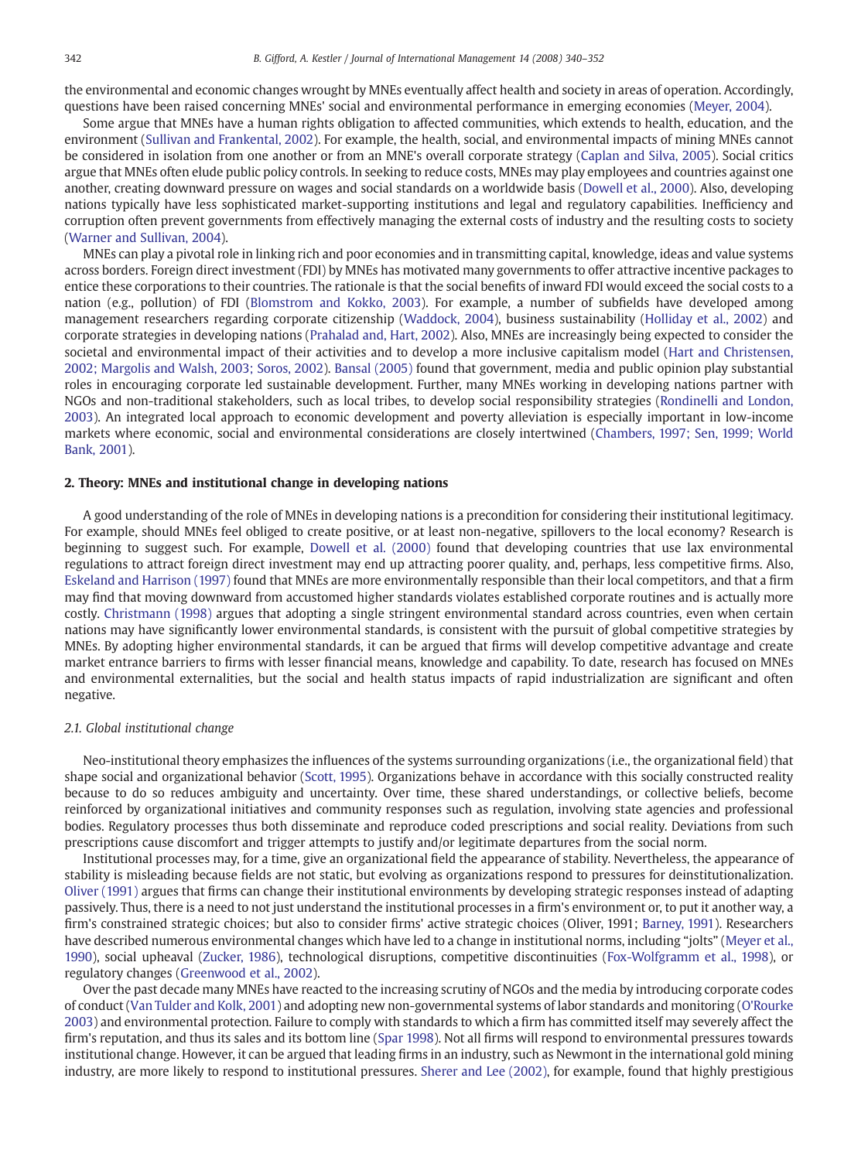the environmental and economic changes wrought by MNEs eventually affect health and society in areas of operation. Accordingly, questions have been raised concerning MNEs' social and environmental performance in emerging economies ([Meyer, 2004](#page-12-0)).

Some argue that MNEs have a human rights obligation to affected communities, which extends to health, education, and the environment [\(Sullivan and Frankental, 2002\)](#page-12-0). For example, the health, social, and environmental impacts of mining MNEs cannot be considered in isolation from one another or from an MNE's overall corporate strategy ([Caplan and Silva, 2005\)](#page-12-0). Social critics argue that MNEs often elude public policy controls. In seeking to reduce costs, MNEs may play employees and countries against one another, creating downward pressure on wages and social standards on a worldwide basis [\(Dowell et al., 2000\)](#page-12-0). Also, developing nations typically have less sophisticated market-supporting institutions and legal and regulatory capabilities. Inefficiency and corruption often prevent governments from effectively managing the external costs of industry and the resulting costs to society [\(Warner and Sullivan, 2004](#page-12-0)).

MNEs can play a pivotal role in linking rich and poor economies and in transmitting capital, knowledge, ideas and value systems across borders. Foreign direct investment (FDI) by MNEs has motivated many governments to offer attractive incentive packages to entice these corporations to their countries. The rationale is that the social benefits of inward FDI would exceed the social costs to a nation (e.g., pollution) of FDI [\(Blomstrom and Kokko, 2003](#page-11-0)). For example, a number of subfields have developed among management researchers regarding corporate citizenship [\(Waddock, 2004\)](#page-12-0), business sustainability ([Holliday et al., 2002\)](#page-12-0) and corporate strategies in developing nations [\(Prahalad and, Hart, 2002\)](#page-12-0). Also, MNEs are increasingly being expected to consider the societal and environmental impact of their activities and to develop a more inclusive capitalism model ([Hart and Christensen,](#page-12-0) [2002; Margolis and Walsh, 2003; Soros, 2002\)](#page-12-0). [Bansal \(2005\)](#page-11-0) found that government, media and public opinion play substantial roles in encouraging corporate led sustainable development. Further, many MNEs working in developing nations partner with NGOs and non-traditional stakeholders, such as local tribes, to develop social responsibility strategies [\(Rondinelli and London,](#page-12-0) [2003\)](#page-12-0). An integrated local approach to economic development and poverty alleviation is especially important in low-income markets where economic, social and environmental considerations are closely intertwined ([Chambers, 1997; Sen, 1999; World](#page-12-0) [Bank, 2001\)](#page-12-0).

#### 2. Theory: MNEs and institutional change in developing nations

A good understanding of the role of MNEs in developing nations is a precondition for considering their institutional legitimacy. For example, should MNEs feel obliged to create positive, or at least non-negative, spillovers to the local economy? Research is beginning to suggest such. For example, [Dowell et al. \(2000\)](#page-12-0) found that developing countries that use lax environmental regulations to attract foreign direct investment may end up attracting poorer quality, and, perhaps, less competitive firms. Also, [Eskeland and Harrison \(1997\)](#page-12-0) found that MNEs are more environmentally responsible than their local competitors, and that a firm may find that moving downward from accustomed higher standards violates established corporate routines and is actually more costly. [Christmann \(1998\)](#page-12-0) argues that adopting a single stringent environmental standard across countries, even when certain nations may have significantly lower environmental standards, is consistent with the pursuit of global competitive strategies by MNEs. By adopting higher environmental standards, it can be argued that firms will develop competitive advantage and create market entrance barriers to firms with lesser financial means, knowledge and capability. To date, research has focused on MNEs and environmental externalities, but the social and health status impacts of rapid industrialization are significant and often negative.

#### 2.1. Global institutional change

Neo-institutional theory emphasizes the influences of the systems surrounding organizations (i.e., the organizational field) that shape social and organizational behavior [\(Scott, 1995](#page-12-0)). Organizations behave in accordance with this socially constructed reality because to do so reduces ambiguity and uncertainty. Over time, these shared understandings, or collective beliefs, become reinforced by organizational initiatives and community responses such as regulation, involving state agencies and professional bodies. Regulatory processes thus both disseminate and reproduce coded prescriptions and social reality. Deviations from such prescriptions cause discomfort and trigger attempts to justify and/or legitimate departures from the social norm.

Institutional processes may, for a time, give an organizational field the appearance of stability. Nevertheless, the appearance of stability is misleading because fields are not static, but evolving as organizations respond to pressures for deinstitutionalization. [Oliver \(1991\)](#page-12-0) argues that firms can change their institutional environments by developing strategic responses instead of adapting passively. Thus, there is a need to not just understand the institutional processes in a firm's environment or, to put it another way, a firm's constrained strategic choices; but also to consider firms' active strategic choices (Oliver, 1991; [Barney, 1991](#page-11-0)). Researchers have described numerous environmental changes which have led to a change in institutional norms, including "jolts" [\(Meyer et al.,](#page-12-0) [1990\)](#page-12-0), social upheaval ([Zucker, 1986](#page-12-0)), technological disruptions, competitive discontinuities [\(Fox-Wolfgramm et al., 1998\)](#page-12-0), or regulatory changes [\(Greenwood et al., 2002](#page-12-0)).

Over the past decade many MNEs have reacted to the increasing scrutiny of NGOs and the media by introducing corporate codes of conduct ([Van Tulder and Kolk, 2001](#page-12-0)) and adopting new non-governmental systems of labor standards and monitoring [\(O'Rourke](#page-12-0) [2003\)](#page-12-0) and environmental protection. Failure to comply with standards to which a firm has committed itself may severely affect the firm's reputation, and thus its sales and its bottom line ([Spar 1998\)](#page-12-0). Not all firms will respond to environmental pressures towards institutional change. However, it can be argued that leading firms in an industry, such as Newmont in the international gold mining industry, are more likely to respond to institutional pressures. [Sherer and Lee \(2002\),](#page-12-0) for example, found that highly prestigious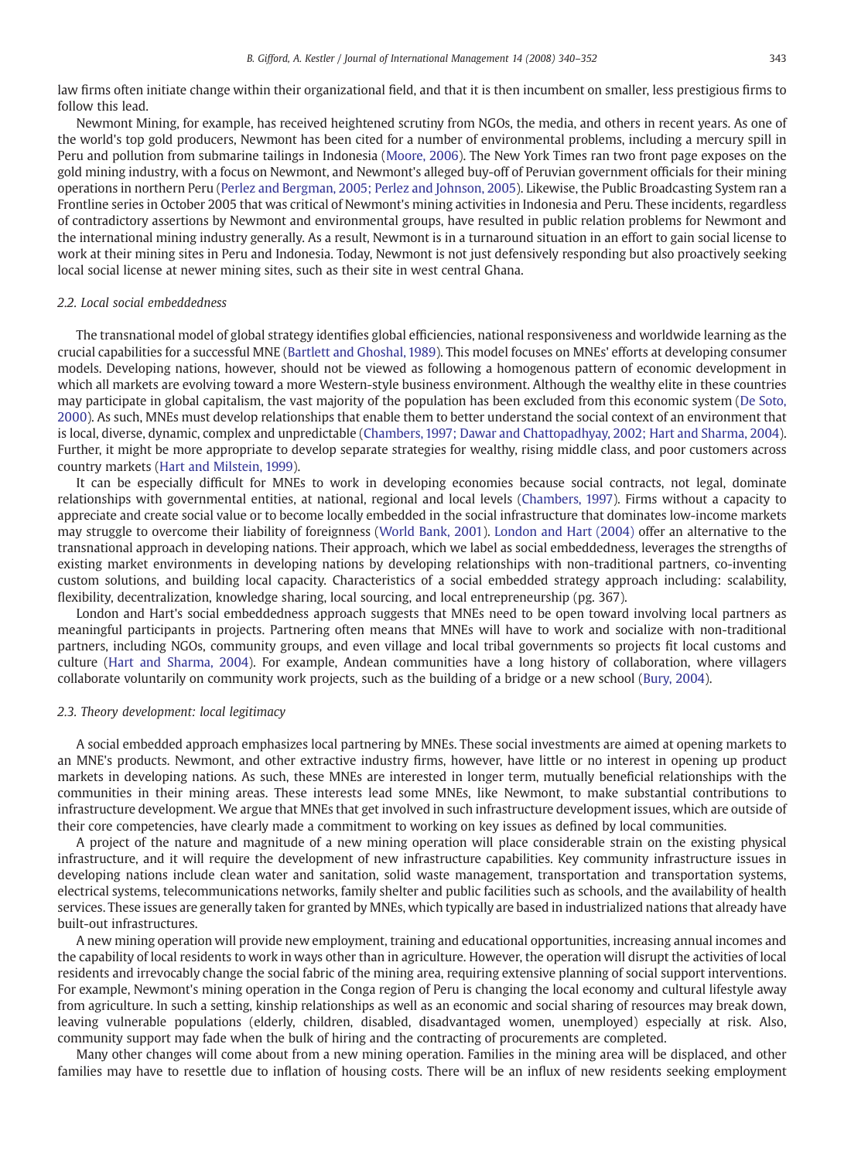law firms often initiate change within their organizational field, and that it is then incumbent on smaller, less prestigious firms to follow this lead.

Newmont Mining, for example, has received heightened scrutiny from NGOs, the media, and others in recent years. As one of the world's top gold producers, Newmont has been cited for a number of environmental problems, including a mercury spill in Peru and pollution from submarine tailings in Indonesia ([Moore, 2006](#page-12-0)). The New York Times ran two front page exposes on the gold mining industry, with a focus on Newmont, and Newmont's alleged buy-off of Peruvian government officials for their mining operations in northern Peru [\(Perlez and Bergman, 2005; Perlez and Johnson, 2005](#page-12-0)). Likewise, the Public Broadcasting System ran a Frontline series in October 2005 that was critical of Newmont's mining activities in Indonesia and Peru. These incidents, regardless of contradictory assertions by Newmont and environmental groups, have resulted in public relation problems for Newmont and the international mining industry generally. As a result, Newmont is in a turnaround situation in an effort to gain social license to work at their mining sites in Peru and Indonesia. Today, Newmont is not just defensively responding but also proactively seeking local social license at newer mining sites, such as their site in west central Ghana.

#### 2.2. Local social embeddedness

The transnational model of global strategy identifies global efficiencies, national responsiveness and worldwide learning as the crucial capabilities for a successful MNE [\(Bartlett and Ghoshal, 1989\)](#page-11-0). This model focuses on MNEs' efforts at developing consumer models. Developing nations, however, should not be viewed as following a homogenous pattern of economic development in which all markets are evolving toward a more Western-style business environment. Although the wealthy elite in these countries may participate in global capitalism, the vast majority of the population has been excluded from this economic system [\(De Soto,](#page-12-0) [2000\)](#page-12-0). As such, MNEs must develop relationships that enable them to better understand the social context of an environment that is local, diverse, dynamic, complex and unpredictable ([Chambers, 1997; Dawar and Chattopadhyay, 2002; Hart and Sharma, 2004](#page-12-0)). Further, it might be more appropriate to develop separate strategies for wealthy, rising middle class, and poor customers across country markets [\(Hart and Milstein, 1999](#page-12-0)).

It can be especially difficult for MNEs to work in developing economies because social contracts, not legal, dominate relationships with governmental entities, at national, regional and local levels ([Chambers, 1997](#page-12-0)). Firms without a capacity to appreciate and create social value or to become locally embedded in the social infrastructure that dominates low-income markets may struggle to overcome their liability of foreignness ([World Bank, 2001\)](#page-12-0). [London and Hart \(2004\)](#page-12-0) offer an alternative to the transnational approach in developing nations. Their approach, which we label as social embeddedness, leverages the strengths of existing market environments in developing nations by developing relationships with non-traditional partners, co-inventing custom solutions, and building local capacity. Characteristics of a social embedded strategy approach including: scalability, flexibility, decentralization, knowledge sharing, local sourcing, and local entrepreneurship (pg. 367).

London and Hart's social embeddedness approach suggests that MNEs need to be open toward involving local partners as meaningful participants in projects. Partnering often means that MNEs will have to work and socialize with non-traditional partners, including NGOs, community groups, and even village and local tribal governments so projects fit local customs and culture [\(Hart and Sharma, 2004\)](#page-12-0). For example, Andean communities have a long history of collaboration, where villagers collaborate voluntarily on community work projects, such as the building of a bridge or a new school [\(Bury, 2004\)](#page-12-0).

#### 2.3. Theory development: local legitimacy

A social embedded approach emphasizes local partnering by MNEs. These social investments are aimed at opening markets to an MNE's products. Newmont, and other extractive industry firms, however, have little or no interest in opening up product markets in developing nations. As such, these MNEs are interested in longer term, mutually beneficial relationships with the communities in their mining areas. These interests lead some MNEs, like Newmont, to make substantial contributions to infrastructure development. We argue that MNEs that get involved in such infrastructure development issues, which are outside of their core competencies, have clearly made a commitment to working on key issues as defined by local communities.

A project of the nature and magnitude of a new mining operation will place considerable strain on the existing physical infrastructure, and it will require the development of new infrastructure capabilities. Key community infrastructure issues in developing nations include clean water and sanitation, solid waste management, transportation and transportation systems, electrical systems, telecommunications networks, family shelter and public facilities such as schools, and the availability of health services. These issues are generally taken for granted by MNEs, which typically are based in industrialized nations that already have built-out infrastructures.

A new mining operation will provide new employment, training and educational opportunities, increasing annual incomes and the capability of local residents to work in ways other than in agriculture. However, the operation will disrupt the activities of local residents and irrevocably change the social fabric of the mining area, requiring extensive planning of social support interventions. For example, Newmont's mining operation in the Conga region of Peru is changing the local economy and cultural lifestyle away from agriculture. In such a setting, kinship relationships as well as an economic and social sharing of resources may break down, leaving vulnerable populations (elderly, children, disabled, disadvantaged women, unemployed) especially at risk. Also, community support may fade when the bulk of hiring and the contracting of procurements are completed.

Many other changes will come about from a new mining operation. Families in the mining area will be displaced, and other families may have to resettle due to inflation of housing costs. There will be an influx of new residents seeking employment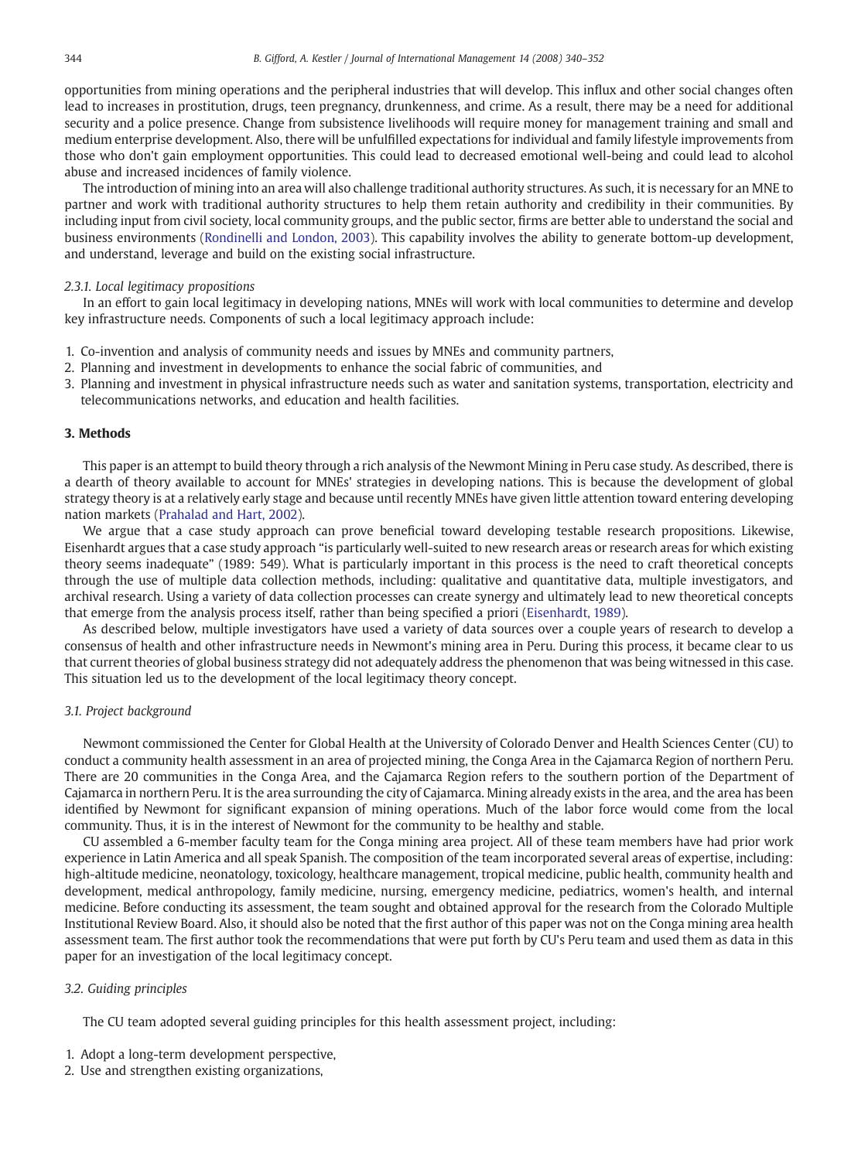opportunities from mining operations and the peripheral industries that will develop. This influx and other social changes often lead to increases in prostitution, drugs, teen pregnancy, drunkenness, and crime. As a result, there may be a need for additional security and a police presence. Change from subsistence livelihoods will require money for management training and small and medium enterprise development. Also, there will be unfulfilled expectations for individual and family lifestyle improvements from those who don't gain employment opportunities. This could lead to decreased emotional well-being and could lead to alcohol abuse and increased incidences of family violence.

The introduction of mining into an area will also challenge traditional authority structures. As such, it is necessary for an MNE to partner and work with traditional authority structures to help them retain authority and credibility in their communities. By including input from civil society, local community groups, and the public sector, firms are better able to understand the social and business environments ([Rondinelli and London, 2003\)](#page-12-0). This capability involves the ability to generate bottom-up development, and understand, leverage and build on the existing social infrastructure.

#### 2.3.1. Local legitimacy propositions

In an effort to gain local legitimacy in developing nations, MNEs will work with local communities to determine and develop key infrastructure needs. Components of such a local legitimacy approach include:

- 1. Co-invention and analysis of community needs and issues by MNEs and community partners,
- 2. Planning and investment in developments to enhance the social fabric of communities, and
- 3. Planning and investment in physical infrastructure needs such as water and sanitation systems, transportation, electricity and telecommunications networks, and education and health facilities.

#### 3. Methods

This paper is an attempt to build theory through a rich analysis of the Newmont Mining in Peru case study. As described, there is a dearth of theory available to account for MNEs' strategies in developing nations. This is because the development of global strategy theory is at a relatively early stage and because until recently MNEs have given little attention toward entering developing nation markets ([Prahalad and Hart, 2002](#page-12-0)).

We argue that a case study approach can prove beneficial toward developing testable research propositions. Likewise, Eisenhardt argues that a case study approach "is particularly well-suited to new research areas or research areas for which existing theory seems inadequate" (1989: 549). What is particularly important in this process is the need to craft theoretical concepts through the use of multiple data collection methods, including: qualitative and quantitative data, multiple investigators, and archival research. Using a variety of data collection processes can create synergy and ultimately lead to new theoretical concepts that emerge from the analysis process itself, rather than being specified a priori ([Eisenhardt, 1989](#page-12-0)).

As described below, multiple investigators have used a variety of data sources over a couple years of research to develop a consensus of health and other infrastructure needs in Newmont's mining area in Peru. During this process, it became clear to us that current theories of global business strategy did not adequately address the phenomenon that was being witnessed in this case. This situation led us to the development of the local legitimacy theory concept.

#### 3.1. Project background

Newmont commissioned the Center for Global Health at the University of Colorado Denver and Health Sciences Center (CU) to conduct a community health assessment in an area of projected mining, the Conga Area in the Cajamarca Region of northern Peru. There are 20 communities in the Conga Area, and the Cajamarca Region refers to the southern portion of the Department of Cajamarca in northern Peru. It is the area surrounding the city of Cajamarca. Mining already exists in the area, and the area has been identified by Newmont for significant expansion of mining operations. Much of the labor force would come from the local community. Thus, it is in the interest of Newmont for the community to be healthy and stable.

CU assembled a 6-member faculty team for the Conga mining area project. All of these team members have had prior work experience in Latin America and all speak Spanish. The composition of the team incorporated several areas of expertise, including: high-altitude medicine, neonatology, toxicology, healthcare management, tropical medicine, public health, community health and development, medical anthropology, family medicine, nursing, emergency medicine, pediatrics, women's health, and internal medicine. Before conducting its assessment, the team sought and obtained approval for the research from the Colorado Multiple Institutional Review Board. Also, it should also be noted that the first author of this paper was not on the Conga mining area health assessment team. The first author took the recommendations that were put forth by CU's Peru team and used them as data in this paper for an investigation of the local legitimacy concept.

#### 3.2. Guiding principles

The CU team adopted several guiding principles for this health assessment project, including:

- 1. Adopt a long-term development perspective,
- 2. Use and strengthen existing organizations,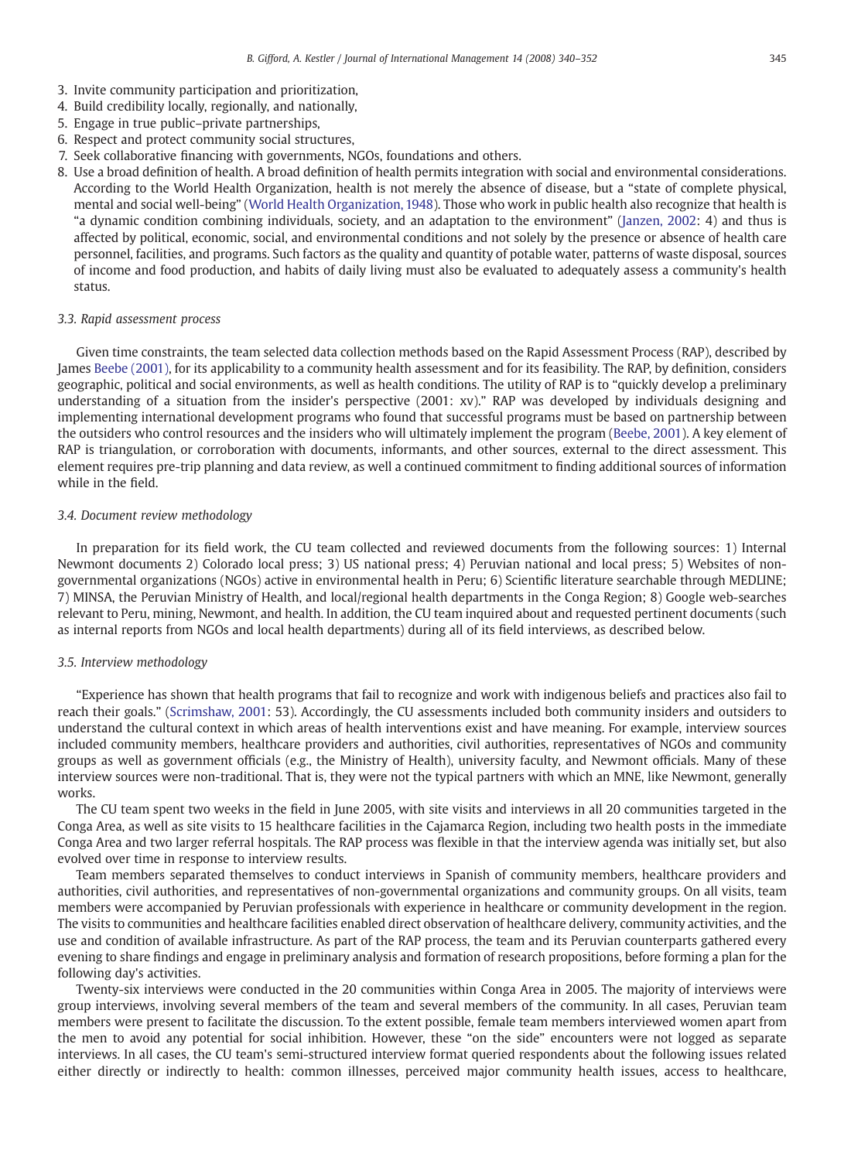- 3. Invite community participation and prioritization,
- 4. Build credibility locally, regionally, and nationally,
- 5. Engage in true public–private partnerships,
- 6. Respect and protect community social structures,
- 7. Seek collaborative financing with governments, NGOs, foundations and others.
- 8. Use a broad definition of health. A broad definition of health permits integration with social and environmental considerations. According to the World Health Organization, health is not merely the absence of disease, but a "state of complete physical, mental and social well-being" [\(World Health Organization, 1948](#page-12-0)). Those who work in public health also recognize that health is "a dynamic condition combining individuals, society, and an adaptation to the environment" ([Janzen, 2002](#page-12-0): 4) and thus is affected by political, economic, social, and environmental conditions and not solely by the presence or absence of health care personnel, facilities, and programs. Such factors as the quality and quantity of potable water, patterns of waste disposal, sources of income and food production, and habits of daily living must also be evaluated to adequately assess a community's health status.

#### 3.3. Rapid assessment process

Given time constraints, the team selected data collection methods based on the Rapid Assessment Process (RAP), described by James [Beebe \(2001\),](#page-11-0) for its applicability to a community health assessment and for its feasibility. The RAP, by definition, considers geographic, political and social environments, as well as health conditions. The utility of RAP is to "quickly develop a preliminary understanding of a situation from the insider's perspective (2001: xv)." RAP was developed by individuals designing and implementing international development programs who found that successful programs must be based on partnership between the outsiders who control resources and the insiders who will ultimately implement the program [\(Beebe, 2001](#page-11-0)). A key element of RAP is triangulation, or corroboration with documents, informants, and other sources, external to the direct assessment. This element requires pre-trip planning and data review, as well a continued commitment to finding additional sources of information while in the field.

#### 3.4. Document review methodology

In preparation for its field work, the CU team collected and reviewed documents from the following sources: 1) Internal Newmont documents 2) Colorado local press; 3) US national press; 4) Peruvian national and local press; 5) Websites of nongovernmental organizations (NGOs) active in environmental health in Peru; 6) Scientific literature searchable through MEDLINE; 7) MINSA, the Peruvian Ministry of Health, and local/regional health departments in the Conga Region; 8) Google web-searches relevant to Peru, mining, Newmont, and health. In addition, the CU team inquired about and requested pertinent documents (such as internal reports from NGOs and local health departments) during all of its field interviews, as described below.

#### 3.5. Interview methodology

"Experience has shown that health programs that fail to recognize and work with indigenous beliefs and practices also fail to reach their goals." ([Scrimshaw, 2001:](#page-12-0) 53). Accordingly, the CU assessments included both community insiders and outsiders to understand the cultural context in which areas of health interventions exist and have meaning. For example, interview sources included community members, healthcare providers and authorities, civil authorities, representatives of NGOs and community groups as well as government officials (e.g., the Ministry of Health), university faculty, and Newmont officials. Many of these interview sources were non-traditional. That is, they were not the typical partners with which an MNE, like Newmont, generally works.

The CU team spent two weeks in the field in June 2005, with site visits and interviews in all 20 communities targeted in the Conga Area, as well as site visits to 15 healthcare facilities in the Cajamarca Region, including two health posts in the immediate Conga Area and two larger referral hospitals. The RAP process was flexible in that the interview agenda was initially set, but also evolved over time in response to interview results.

Team members separated themselves to conduct interviews in Spanish of community members, healthcare providers and authorities, civil authorities, and representatives of non-governmental organizations and community groups. On all visits, team members were accompanied by Peruvian professionals with experience in healthcare or community development in the region. The visits to communities and healthcare facilities enabled direct observation of healthcare delivery, community activities, and the use and condition of available infrastructure. As part of the RAP process, the team and its Peruvian counterparts gathered every evening to share findings and engage in preliminary analysis and formation of research propositions, before forming a plan for the following day's activities.

Twenty-six interviews were conducted in the 20 communities within Conga Area in 2005. The majority of interviews were group interviews, involving several members of the team and several members of the community. In all cases, Peruvian team members were present to facilitate the discussion. To the extent possible, female team members interviewed women apart from the men to avoid any potential for social inhibition. However, these "on the side" encounters were not logged as separate interviews. In all cases, the CU team's semi-structured interview format queried respondents about the following issues related either directly or indirectly to health: common illnesses, perceived major community health issues, access to healthcare,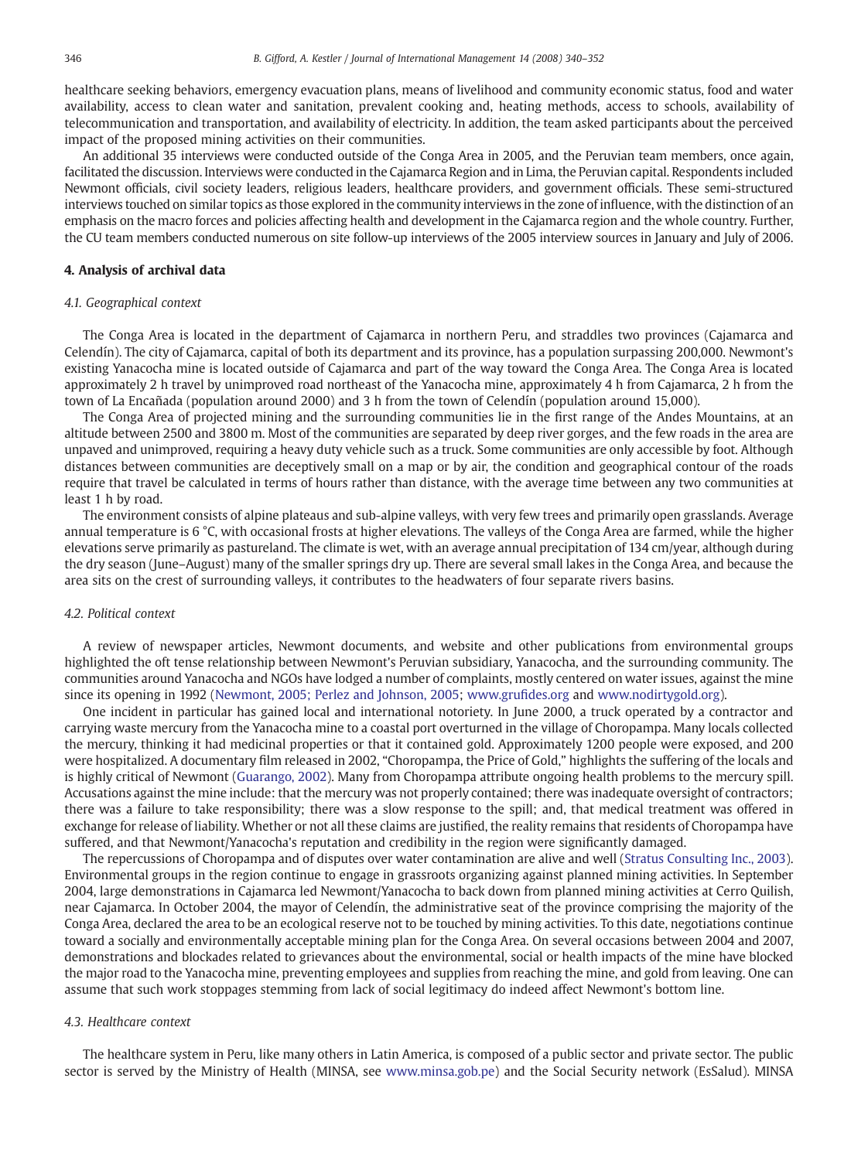healthcare seeking behaviors, emergency evacuation plans, means of livelihood and community economic status, food and water availability, access to clean water and sanitation, prevalent cooking and, heating methods, access to schools, availability of telecommunication and transportation, and availability of electricity. In addition, the team asked participants about the perceived impact of the proposed mining activities on their communities.

An additional 35 interviews were conducted outside of the Conga Area in 2005, and the Peruvian team members, once again, facilitated the discussion. Interviews were conducted in the Cajamarca Region and in Lima, the Peruvian capital. Respondents included Newmont officials, civil society leaders, religious leaders, healthcare providers, and government officials. These semi-structured interviews touched on similar topics as those explored in the community interviews in the zone of influence, with the distinction of an emphasis on the macro forces and policies affecting health and development in the Cajamarca region and the whole country. Further, the CU team members conducted numerous on site follow-up interviews of the 2005 interview sources in January and July of 2006.

#### 4. Analysis of archival data

#### 4.1. Geographical context

The Conga Area is located in the department of Cajamarca in northern Peru, and straddles two provinces (Cajamarca and Celendín). The city of Cajamarca, capital of both its department and its province, has a population surpassing 200,000. Newmont's existing Yanacocha mine is located outside of Cajamarca and part of the way toward the Conga Area. The Conga Area is located approximately 2 h travel by unimproved road northeast of the Yanacocha mine, approximately 4 h from Cajamarca, 2 h from the town of La Encañada (population around 2000) and 3 h from the town of Celendín (population around 15,000).

The Conga Area of projected mining and the surrounding communities lie in the first range of the Andes Mountains, at an altitude between 2500 and 3800 m. Most of the communities are separated by deep river gorges, and the few roads in the area are unpaved and unimproved, requiring a heavy duty vehicle such as a truck. Some communities are only accessible by foot. Although distances between communities are deceptively small on a map or by air, the condition and geographical contour of the roads require that travel be calculated in terms of hours rather than distance, with the average time between any two communities at least 1 h by road.

The environment consists of alpine plateaus and sub-alpine valleys, with very few trees and primarily open grasslands. Average annual temperature is 6 °C, with occasional frosts at higher elevations. The valleys of the Conga Area are farmed, while the higher elevations serve primarily as pastureland. The climate is wet, with an average annual precipitation of 134 cm/year, although during the dry season (June–August) many of the smaller springs dry up. There are several small lakes in the Conga Area, and because the area sits on the crest of surrounding valleys, it contributes to the headwaters of four separate rivers basins.

#### 4.2. Political context

A review of newspaper articles, Newmont documents, and website and other publications from environmental groups highlighted the oft tense relationship between Newmont's Peruvian subsidiary, Yanacocha, and the surrounding community. The communities around Yanacocha and NGOs have lodged a number of complaints, mostly centered on water issues, against the mine since its opening in 1992 ([Newmont, 2005; Perlez and Johnson, 2005;](#page-12-0) [www.gru](http://www.grufides.org)fides.org and [www.nodirtygold.org](http://www.nodirtygold.org)).

One incident in particular has gained local and international notoriety. In June 2000, a truck operated by a contractor and carrying waste mercury from the Yanacocha mine to a coastal port overturned in the village of Choropampa. Many locals collected the mercury, thinking it had medicinal properties or that it contained gold. Approximately 1200 people were exposed, and 200 were hospitalized. A documentary film released in 2002, "Choropampa, the Price of Gold," highlights the suffering of the locals and is highly critical of Newmont [\(Guarango, 2002](#page-12-0)). Many from Choropampa attribute ongoing health problems to the mercury spill. Accusations against the mine include: that the mercury was not properly contained; there was inadequate oversight of contractors; there was a failure to take responsibility; there was a slow response to the spill; and, that medical treatment was offered in exchange for release of liability. Whether or not all these claims are justified, the reality remains that residents of Choropampa have suffered, and that Newmont/Yanacocha's reputation and credibility in the region were significantly damaged.

The repercussions of Choropampa and of disputes over water contamination are alive and well ([Stratus Consulting Inc., 2003\)](#page-12-0). Environmental groups in the region continue to engage in grassroots organizing against planned mining activities. In September 2004, large demonstrations in Cajamarca led Newmont/Yanacocha to back down from planned mining activities at Cerro Quilish, near Cajamarca. In October 2004, the mayor of Celendín, the administrative seat of the province comprising the majority of the Conga Area, declared the area to be an ecological reserve not to be touched by mining activities. To this date, negotiations continue toward a socially and environmentally acceptable mining plan for the Conga Area. On several occasions between 2004 and 2007, demonstrations and blockades related to grievances about the environmental, social or health impacts of the mine have blocked the major road to the Yanacocha mine, preventing employees and supplies from reaching the mine, and gold from leaving. One can assume that such work stoppages stemming from lack of social legitimacy do indeed affect Newmont's bottom line.

#### 4.3. Healthcare context

The healthcare system in Peru, like many others in Latin America, is composed of a public sector and private sector. The public sector is served by the Ministry of Health (MINSA, see [www.minsa.gob.pe](http://www.minsa.gob.pe)) and the Social Security network (EsSalud). MINSA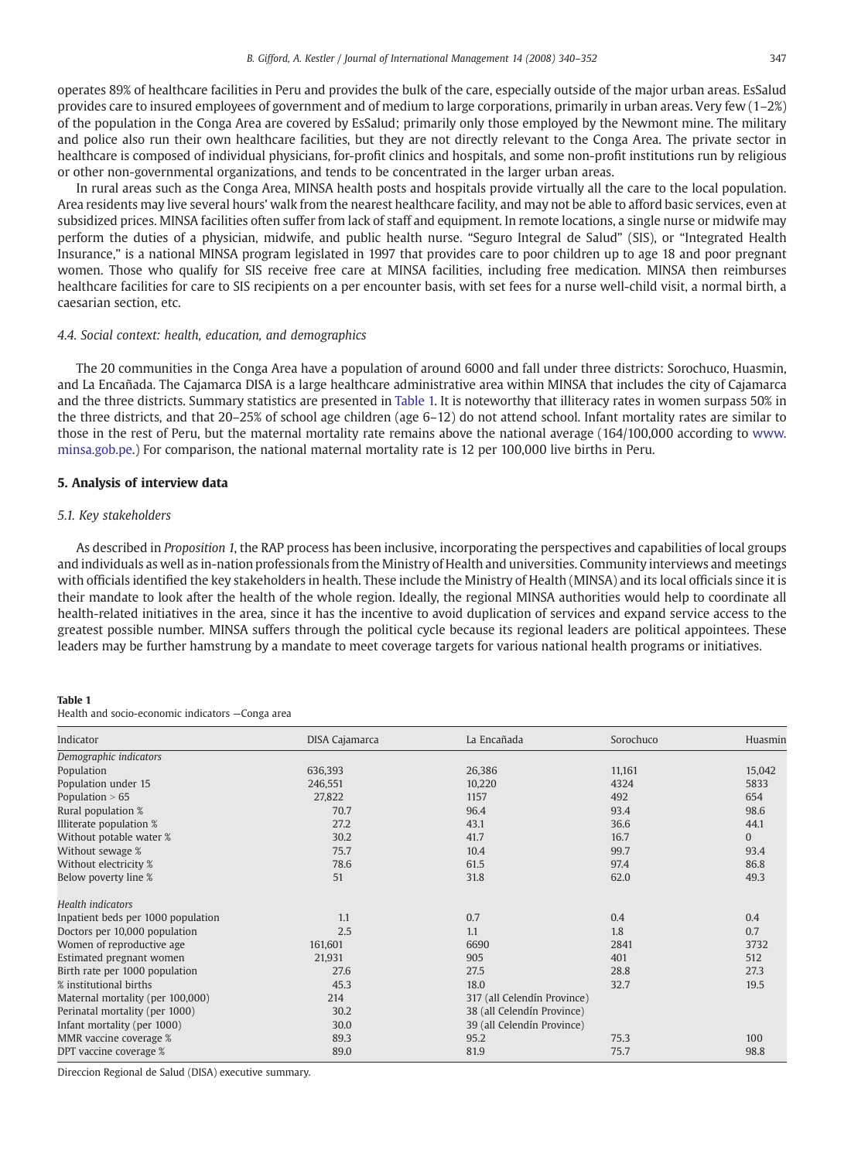operates 89% of healthcare facilities in Peru and provides the bulk of the care, especially outside of the major urban areas. EsSalud provides care to insured employees of government and of medium to large corporations, primarily in urban areas. Very few (1–2%) of the population in the Conga Area are covered by EsSalud; primarily only those employed by the Newmont mine. The military and police also run their own healthcare facilities, but they are not directly relevant to the Conga Area. The private sector in healthcare is composed of individual physicians, for-profit clinics and hospitals, and some non-profit institutions run by religious or other non-governmental organizations, and tends to be concentrated in the larger urban areas.

In rural areas such as the Conga Area, MINSA health posts and hospitals provide virtually all the care to the local population. Area residents may live several hours' walk from the nearest healthcare facility, and may not be able to afford basic services, even at subsidized prices. MINSA facilities often suffer from lack of staff and equipment. In remote locations, a single nurse or midwife may perform the duties of a physician, midwife, and public health nurse. "Seguro Integral de Salud" (SIS), or "Integrated Health Insurance," is a national MINSA program legislated in 1997 that provides care to poor children up to age 18 and poor pregnant women. Those who qualify for SIS receive free care at MINSA facilities, including free medication. MINSA then reimburses healthcare facilities for care to SIS recipients on a per encounter basis, with set fees for a nurse well-child visit, a normal birth, a caesarian section, etc.

#### 4.4. Social context: health, education, and demographics

The 20 communities in the Conga Area have a population of around 6000 and fall under three districts: Sorochuco, Huasmin, and La Encañada. The Cajamarca DISA is a large healthcare administrative area within MINSA that includes the city of Cajamarca and the three districts. Summary statistics are presented in Table 1. It is noteworthy that illiteracy rates in women surpass 50% in the three districts, and that 20–25% of school age children (age 6–12) do not attend school. Infant mortality rates are similar to those in the rest of Peru, but the maternal mortality rate remains above the national average (164/100,000 according to [www.](http://www.minsa.gob.pe) [minsa.gob.pe.](http://www.minsa.gob.pe)) For comparison, the national maternal mortality rate is 12 per 100,000 live births in Peru.

#### 5. Analysis of interview data

#### 5.1. Key stakeholders

As described in Proposition 1, the RAP process has been inclusive, incorporating the perspectives and capabilities of local groups and individuals as well as in-nation professionals from the Ministry of Health and universities. Community interviews and meetings with officials identified the key stakeholders in health. These include the Ministry of Health (MINSA) and its local officials since it is their mandate to look after the health of the whole region. Ideally, the regional MINSA authorities would help to coordinate all health-related initiatives in the area, since it has the incentive to avoid duplication of services and expand service access to the greatest possible number. MINSA suffers through the political cycle because its regional leaders are political appointees. These leaders may be further hamstrung by a mandate to meet coverage targets for various national health programs or initiatives.

#### Table 1

Health and socio-economic indicators —Conga area

| Indicator                          | DISA Cajamarca | La Encañada                 | Sorochuco | Huasmin  |
|------------------------------------|----------------|-----------------------------|-----------|----------|
| Demographic indicators             |                |                             |           |          |
| Population                         | 636,393        | 26,386                      | 11,161    | 15,042   |
| Population under 15                | 246,551        | 10,220                      | 4324      | 5833     |
| Population $>65$                   | 27,822         | 1157                        | 492       | 654      |
| Rural population %                 | 70.7           | 96.4                        | 93.4      | 98.6     |
| Illiterate population %            | 27.2           | 43.1                        | 36.6      | 44.1     |
| Without potable water %            | 30.2           | 41.7                        | 16.7      | $\Omega$ |
| Without sewage %                   | 75.7           | 10.4                        | 99.7      | 93.4     |
| Without electricity %              | 78.6           | 61.5                        | 97.4      | 86.8     |
| Below poverty line %               | 51             | 31.8                        | 62.0      | 49.3     |
| <b>Health indicators</b>           |                |                             |           |          |
| Inpatient beds per 1000 population | 1.1            | 0.7                         | 0.4       | 0.4      |
| Doctors per 10,000 population      | 2.5            | 1.1                         | 1.8       | 0.7      |
| Women of reproductive age          | 161,601        | 6690                        | 2841      | 3732     |
| Estimated pregnant women           | 21,931         | 905                         | 401       | 512      |
| Birth rate per 1000 population     | 27.6           | 27.5                        | 28.8      | 27.3     |
| % institutional births             | 45.3           | 18.0                        | 32.7      | 19.5     |
| Maternal mortality (per 100,000)   | 214            | 317 (all Celendín Province) |           |          |
| Perinatal mortality (per 1000)     | 30.2           | 38 (all Celendín Province)  |           |          |
| Infant mortality (per 1000)        | 30.0           | 39 (all Celendín Province)  |           |          |
| MMR vaccine coverage %             | 89.3           | 95.2                        | 75.3      | 100      |
| DPT vaccine coverage %             | 89.0           | 81.9                        | 75.7      | 98.8     |

Direccion Regional de Salud (DISA) executive summary.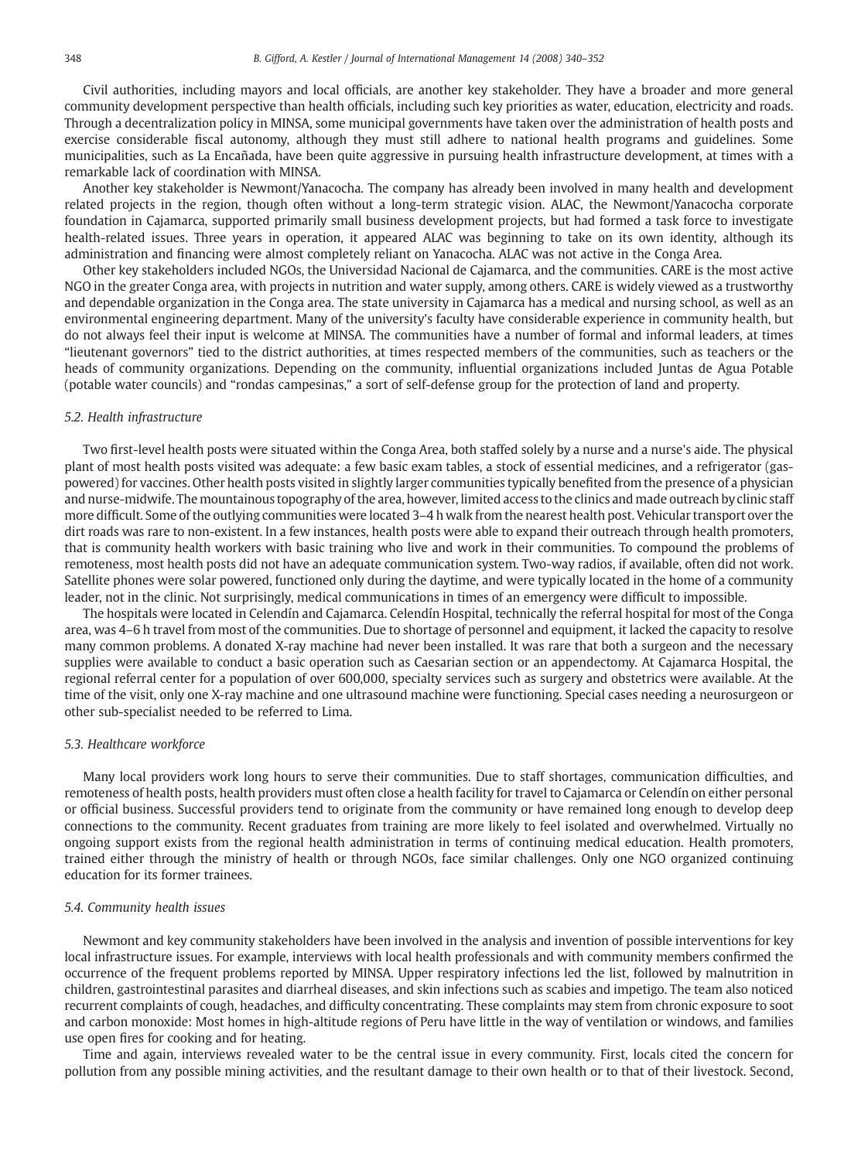Civil authorities, including mayors and local officials, are another key stakeholder. They have a broader and more general community development perspective than health officials, including such key priorities as water, education, electricity and roads. Through a decentralization policy in MINSA, some municipal governments have taken over the administration of health posts and exercise considerable fiscal autonomy, although they must still adhere to national health programs and guidelines. Some municipalities, such as La Encañada, have been quite aggressive in pursuing health infrastructure development, at times with a remarkable lack of coordination with MINSA.

Another key stakeholder is Newmont/Yanacocha. The company has already been involved in many health and development related projects in the region, though often without a long-term strategic vision. ALAC, the Newmont/Yanacocha corporate foundation in Cajamarca, supported primarily small business development projects, but had formed a task force to investigate health-related issues. Three years in operation, it appeared ALAC was beginning to take on its own identity, although its administration and financing were almost completely reliant on Yanacocha. ALAC was not active in the Conga Area.

Other key stakeholders included NGOs, the Universidad Nacional de Cajamarca, and the communities. CARE is the most active NGO in the greater Conga area, with projects in nutrition and water supply, among others. CARE is widely viewed as a trustworthy and dependable organization in the Conga area. The state university in Cajamarca has a medical and nursing school, as well as an environmental engineering department. Many of the university's faculty have considerable experience in community health, but do not always feel their input is welcome at MINSA. The communities have a number of formal and informal leaders, at times "lieutenant governors" tied to the district authorities, at times respected members of the communities, such as teachers or the heads of community organizations. Depending on the community, influential organizations included Juntas de Agua Potable (potable water councils) and "rondas campesinas," a sort of self-defense group for the protection of land and property.

#### 5.2. Health infrastructure

Two first-level health posts were situated within the Conga Area, both staffed solely by a nurse and a nurse's aide. The physical plant of most health posts visited was adequate: a few basic exam tables, a stock of essential medicines, and a refrigerator (gaspowered) for vaccines. Other health posts visited in slightly larger communities typically benefited from the presence of a physician and nurse-midwife. The mountainous topography of the area, however, limited access to the clinics and made outreach by clinic staff more difficult. Some of the outlying communities were located 3–4 h walk from the nearest health post. Vehicular transport over the dirt roads was rare to non-existent. In a few instances, health posts were able to expand their outreach through health promoters, that is community health workers with basic training who live and work in their communities. To compound the problems of remoteness, most health posts did not have an adequate communication system. Two-way radios, if available, often did not work. Satellite phones were solar powered, functioned only during the daytime, and were typically located in the home of a community leader, not in the clinic. Not surprisingly, medical communications in times of an emergency were difficult to impossible.

The hospitals were located in Celendín and Cajamarca. Celendín Hospital, technically the referral hospital for most of the Conga area, was 4–6 h travel from most of the communities. Due to shortage of personnel and equipment, it lacked the capacity to resolve many common problems. A donated X-ray machine had never been installed. It was rare that both a surgeon and the necessary supplies were available to conduct a basic operation such as Caesarian section or an appendectomy. At Cajamarca Hospital, the regional referral center for a population of over 600,000, specialty services such as surgery and obstetrics were available. At the time of the visit, only one X-ray machine and one ultrasound machine were functioning. Special cases needing a neurosurgeon or other sub-specialist needed to be referred to Lima.

### 5.3. Healthcare workforce

Many local providers work long hours to serve their communities. Due to staff shortages, communication difficulties, and remoteness of health posts, health providers must often close a health facility for travel to Cajamarca or Celendín on either personal or official business. Successful providers tend to originate from the community or have remained long enough to develop deep connections to the community. Recent graduates from training are more likely to feel isolated and overwhelmed. Virtually no ongoing support exists from the regional health administration in terms of continuing medical education. Health promoters, trained either through the ministry of health or through NGOs, face similar challenges. Only one NGO organized continuing education for its former trainees.

#### 5.4. Community health issues

Newmont and key community stakeholders have been involved in the analysis and invention of possible interventions for key local infrastructure issues. For example, interviews with local health professionals and with community members confirmed the occurrence of the frequent problems reported by MINSA. Upper respiratory infections led the list, followed by malnutrition in children, gastrointestinal parasites and diarrheal diseases, and skin infections such as scabies and impetigo. The team also noticed recurrent complaints of cough, headaches, and difficulty concentrating. These complaints may stem from chronic exposure to soot and carbon monoxide: Most homes in high-altitude regions of Peru have little in the way of ventilation or windows, and families use open fires for cooking and for heating.

Time and again, interviews revealed water to be the central issue in every community. First, locals cited the concern for pollution from any possible mining activities, and the resultant damage to their own health or to that of their livestock. Second,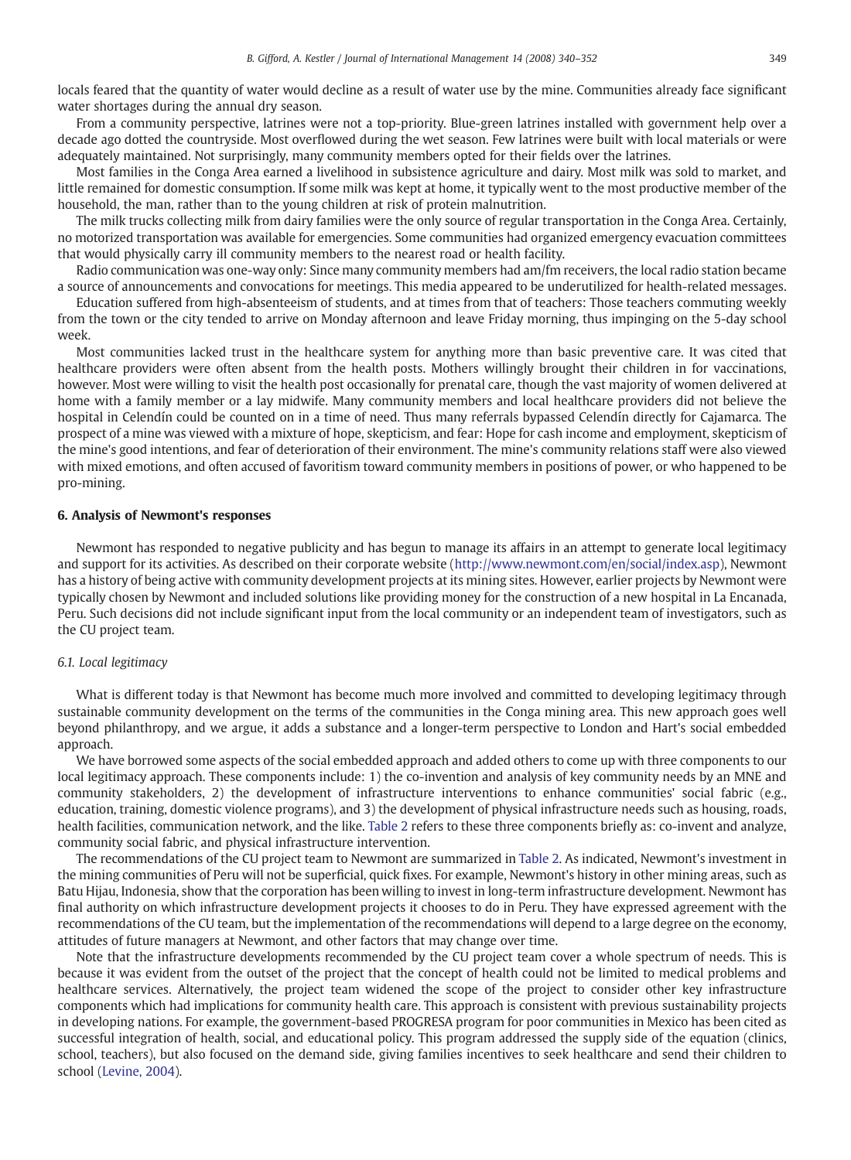locals feared that the quantity of water would decline as a result of water use by the mine. Communities already face significant water shortages during the annual dry season.

From a community perspective, latrines were not a top-priority. Blue-green latrines installed with government help over a decade ago dotted the countryside. Most overflowed during the wet season. Few latrines were built with local materials or were adequately maintained. Not surprisingly, many community members opted for their fields over the latrines.

Most families in the Conga Area earned a livelihood in subsistence agriculture and dairy. Most milk was sold to market, and little remained for domestic consumption. If some milk was kept at home, it typically went to the most productive member of the household, the man, rather than to the young children at risk of protein malnutrition.

The milk trucks collecting milk from dairy families were the only source of regular transportation in the Conga Area. Certainly, no motorized transportation was available for emergencies. Some communities had organized emergency evacuation committees that would physically carry ill community members to the nearest road or health facility.

Radio communication was one-way only: Since many community members had am/fm receivers, the local radio station became a source of announcements and convocations for meetings. This media appeared to be underutilized for health-related messages.

Education suffered from high-absenteeism of students, and at times from that of teachers: Those teachers commuting weekly from the town or the city tended to arrive on Monday afternoon and leave Friday morning, thus impinging on the 5-day school week.

Most communities lacked trust in the healthcare system for anything more than basic preventive care. It was cited that healthcare providers were often absent from the health posts. Mothers willingly brought their children in for vaccinations, however. Most were willing to visit the health post occasionally for prenatal care, though the vast majority of women delivered at home with a family member or a lay midwife. Many community members and local healthcare providers did not believe the hospital in Celendín could be counted on in a time of need. Thus many referrals bypassed Celendín directly for Cajamarca. The prospect of a mine was viewed with a mixture of hope, skepticism, and fear: Hope for cash income and employment, skepticism of the mine's good intentions, and fear of deterioration of their environment. The mine's community relations staff were also viewed with mixed emotions, and often accused of favoritism toward community members in positions of power, or who happened to be pro-mining.

#### 6. Analysis of Newmont's responses

Newmont has responded to negative publicity and has begun to manage its affairs in an attempt to generate local legitimacy and support for its activities. As described on their corporate website (<http://www.newmont.com/en/social/index.asp>), Newmont has a history of being active with community development projects at its mining sites. However, earlier projects by Newmont were typically chosen by Newmont and included solutions like providing money for the construction of a new hospital in La Encanada, Peru. Such decisions did not include significant input from the local community or an independent team of investigators, such as the CU project team.

#### 6.1. Local legitimacy

What is different today is that Newmont has become much more involved and committed to developing legitimacy through sustainable community development on the terms of the communities in the Conga mining area. This new approach goes well beyond philanthropy, and we argue, it adds a substance and a longer-term perspective to London and Hart's social embedded approach.

We have borrowed some aspects of the social embedded approach and added others to come up with three components to our local legitimacy approach. These components include: 1) the co-invention and analysis of key community needs by an MNE and community stakeholders, 2) the development of infrastructure interventions to enhance communities' social fabric (e.g., education, training, domestic violence programs), and 3) the development of physical infrastructure needs such as housing, roads, health facilities, communication network, and the like. [Table 2](#page-10-0) refers to these three components briefly as: co-invent and analyze, community social fabric, and physical infrastructure intervention.

The recommendations of the CU project team to Newmont are summarized in [Table 2.](#page-10-0) As indicated, Newmont's investment in the mining communities of Peru will not be superficial, quick fixes. For example, Newmont's history in other mining areas, such as Batu Hijau, Indonesia, show that the corporation has been willing to invest in long-term infrastructure development. Newmont has final authority on which infrastructure development projects it chooses to do in Peru. They have expressed agreement with the recommendations of the CU team, but the implementation of the recommendations will depend to a large degree on the economy, attitudes of future managers at Newmont, and other factors that may change over time.

Note that the infrastructure developments recommended by the CU project team cover a whole spectrum of needs. This is because it was evident from the outset of the project that the concept of health could not be limited to medical problems and healthcare services. Alternatively, the project team widened the scope of the project to consider other key infrastructure components which had implications for community health care. This approach is consistent with previous sustainability projects in developing nations. For example, the government-based PROGRESA program for poor communities in Mexico has been cited as successful integration of health, social, and educational policy. This program addressed the supply side of the equation (clinics, school, teachers), but also focused on the demand side, giving families incentives to seek healthcare and send their children to school [\(Levine, 2004\)](#page-12-0).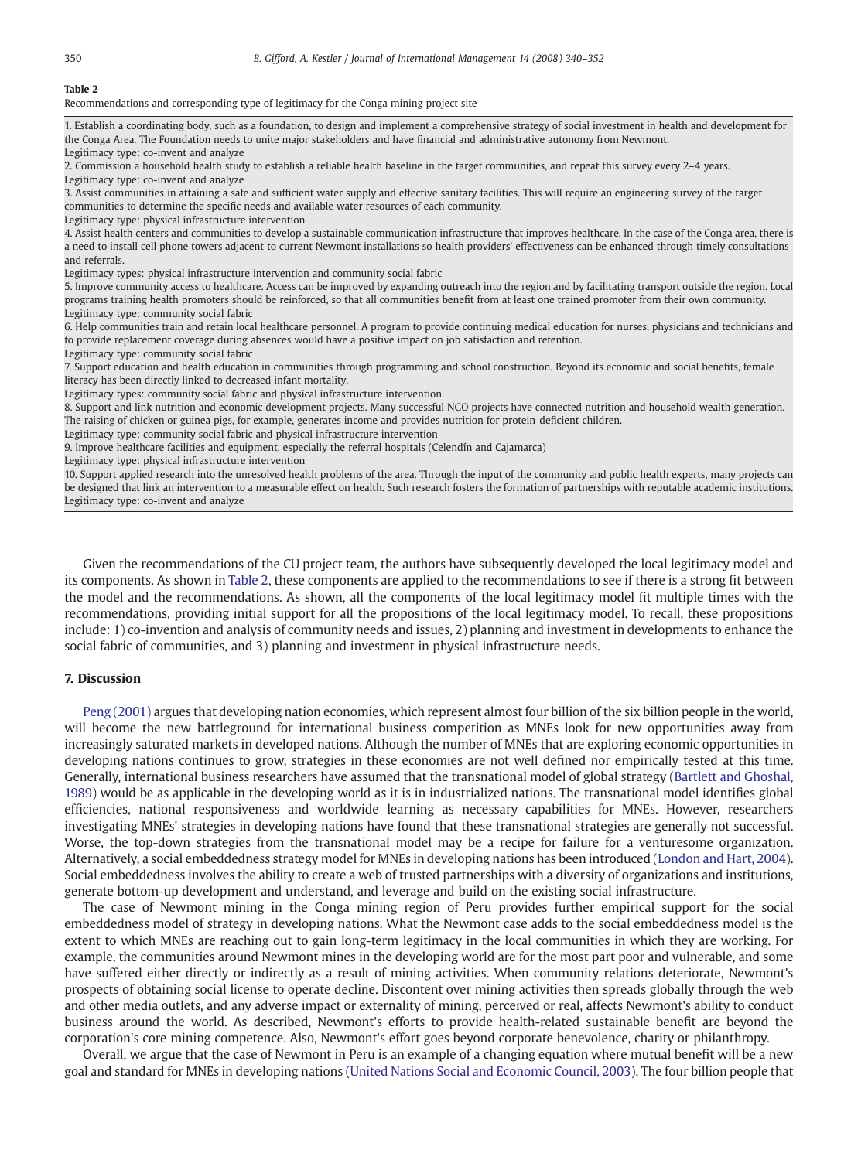#### <span id="page-10-0"></span>Table 2

Recommendations and corresponding type of legitimacy for the Conga mining project site

1. Establish a coordinating body, such as a foundation, to design and implement a comprehensive strategy of social investment in health and development for the Conga Area. The Foundation needs to unite major stakeholders and have financial and administrative autonomy from Newmont.

Legitimacy type: co-invent and analyze

2. Commission a household health study to establish a reliable health baseline in the target communities, and repeat this survey every 2–4 years. Legitimacy type: co-invent and analyze

3. Assist communities in attaining a safe and sufficient water supply and effective sanitary facilities. This will require an engineering survey of the target communities to determine the specific needs and available water resources of each community.

Legitimacy type: physical infrastructure intervention

4. Assist health centers and communities to develop a sustainable communication infrastructure that improves healthcare. In the case of the Conga area, there is a need to install cell phone towers adjacent to current Newmont installations so health providers' effectiveness can be enhanced through timely consultations and referrals.

Legitimacy types: physical infrastructure intervention and community social fabric

5. Improve community access to healthcare. Access can be improved by expanding outreach into the region and by facilitating transport outside the region. Local programs training health promoters should be reinforced, so that all communities benefit from at least one trained promoter from their own community. Legitimacy type: community social fabric

6. Help communities train and retain local healthcare personnel. A program to provide continuing medical education for nurses, physicians and technicians and to provide replacement coverage during absences would have a positive impact on job satisfaction and retention.

Legitimacy type: community social fabric

7. Support education and health education in communities through programming and school construction. Beyond its economic and social benefits, female literacy has been directly linked to decreased infant mortality.

Legitimacy types: community social fabric and physical infrastructure intervention

8. Support and link nutrition and economic development projects. Many successful NGO projects have connected nutrition and household wealth generation. The raising of chicken or guinea pigs, for example, generates income and provides nutrition for protein-deficient children.

Legitimacy type: community social fabric and physical infrastructure intervention

9. Improve healthcare facilities and equipment, especially the referral hospitals (Celendín and Cajamarca)

Legitimacy type: physical infrastructure intervention

10. Support applied research into the unresolved health problems of the area. Through the input of the community and public health experts, many projects can be designed that link an intervention to a measurable effect on health. Such research fosters the formation of partnerships with reputable academic institutions. Legitimacy type: co-invent and analyze

Given the recommendations of the CU project team, the authors have subsequently developed the local legitimacy model and its components. As shown in Table 2, these components are applied to the recommendations to see if there is a strong fit between the model and the recommendations. As shown, all the components of the local legitimacy model fit multiple times with the recommendations, providing initial support for all the propositions of the local legitimacy model. To recall, these propositions include: 1) co-invention and analysis of community needs and issues, 2) planning and investment in developments to enhance the social fabric of communities, and 3) planning and investment in physical infrastructure needs.

#### 7. Discussion

[Peng \(2001\)](#page-12-0) argues that developing nation economies, which represent almost four billion of the six billion people in the world, will become the new battleground for international business competition as MNEs look for new opportunities away from increasingly saturated markets in developed nations. Although the number of MNEs that are exploring economic opportunities in developing nations continues to grow, strategies in these economies are not well defined nor empirically tested at this time. Generally, international business researchers have assumed that the transnational model of global strategy [\(Bartlett and Ghoshal,](#page-11-0) [1989\)](#page-11-0) would be as applicable in the developing world as it is in industrialized nations. The transnational model identifies global efficiencies, national responsiveness and worldwide learning as necessary capabilities for MNEs. However, researchers investigating MNEs' strategies in developing nations have found that these transnational strategies are generally not successful. Worse, the top-down strategies from the transnational model may be a recipe for failure for a venturesome organization. Alternatively, a social embeddedness strategy model for MNEs in developing nations has been introduced ([London and Hart, 2004\)](#page-12-0). Social embeddedness involves the ability to create a web of trusted partnerships with a diversity of organizations and institutions, generate bottom-up development and understand, and leverage and build on the existing social infrastructure.

The case of Newmont mining in the Conga mining region of Peru provides further empirical support for the social embeddedness model of strategy in developing nations. What the Newmont case adds to the social embeddedness model is the extent to which MNEs are reaching out to gain long-term legitimacy in the local communities in which they are working. For example, the communities around Newmont mines in the developing world are for the most part poor and vulnerable, and some have suffered either directly or indirectly as a result of mining activities. When community relations deteriorate, Newmont's prospects of obtaining social license to operate decline. Discontent over mining activities then spreads globally through the web and other media outlets, and any adverse impact or externality of mining, perceived or real, affects Newmont's ability to conduct business around the world. As described, Newmont's efforts to provide health-related sustainable benefit are beyond the corporation's core mining competence. Also, Newmont's effort goes beyond corporate benevolence, charity or philanthropy.

Overall, we argue that the case of Newmont in Peru is an example of a changing equation where mutual benefit will be a new goal and standard for MNEs in developing nations ([United Nations Social and Economic Council, 2003\)](#page-12-0). The four billion people that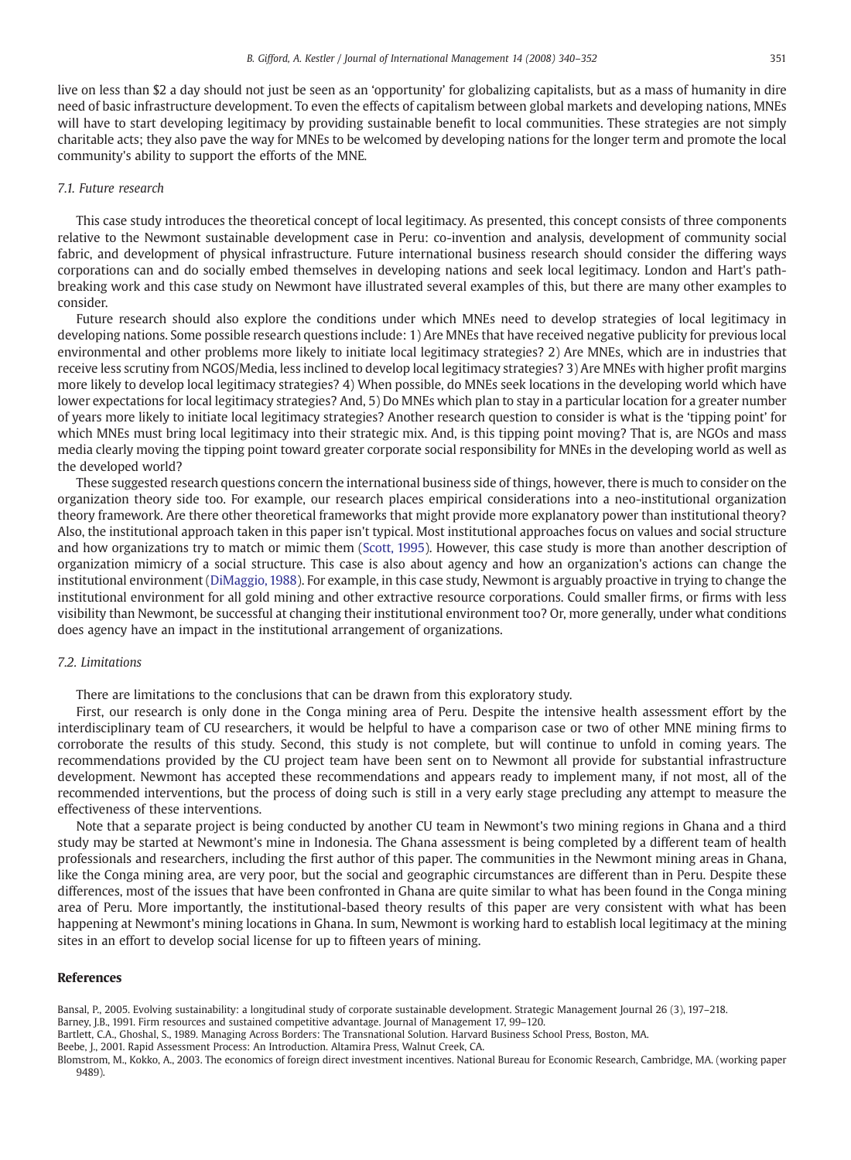<span id="page-11-0"></span>live on less than \$2 a day should not just be seen as an 'opportunity' for globalizing capitalists, but as a mass of humanity in dire need of basic infrastructure development. To even the effects of capitalism between global markets and developing nations, MNEs will have to start developing legitimacy by providing sustainable benefit to local communities. These strategies are not simply charitable acts; they also pave the way for MNEs to be welcomed by developing nations for the longer term and promote the local community's ability to support the efforts of the MNE.

#### 7.1. Future research

This case study introduces the theoretical concept of local legitimacy. As presented, this concept consists of three components relative to the Newmont sustainable development case in Peru: co-invention and analysis, development of community social fabric, and development of physical infrastructure. Future international business research should consider the differing ways corporations can and do socially embed themselves in developing nations and seek local legitimacy. London and Hart's pathbreaking work and this case study on Newmont have illustrated several examples of this, but there are many other examples to consider.

Future research should also explore the conditions under which MNEs need to develop strategies of local legitimacy in developing nations. Some possible research questions include: 1) Are MNEs that have received negative publicity for previous local environmental and other problems more likely to initiate local legitimacy strategies? 2) Are MNEs, which are in industries that receive less scrutiny from NGOS/Media, less inclined to develop local legitimacy strategies? 3) Are MNEs with higher profit margins more likely to develop local legitimacy strategies? 4) When possible, do MNEs seek locations in the developing world which have lower expectations for local legitimacy strategies? And, 5) Do MNEs which plan to stay in a particular location for a greater number of years more likely to initiate local legitimacy strategies? Another research question to consider is what is the 'tipping point' for which MNEs must bring local legitimacy into their strategic mix. And, is this tipping point moving? That is, are NGOs and mass media clearly moving the tipping point toward greater corporate social responsibility for MNEs in the developing world as well as the developed world?

These suggested research questions concern the international business side of things, however, there is much to consider on the organization theory side too. For example, our research places empirical considerations into a neo-institutional organization theory framework. Are there other theoretical frameworks that might provide more explanatory power than institutional theory? Also, the institutional approach taken in this paper isn't typical. Most institutional approaches focus on values and social structure and how organizations try to match or mimic them [\(Scott, 1995\)](#page-12-0). However, this case study is more than another description of organization mimicry of a social structure. This case is also about agency and how an organization's actions can change the institutional environment ([DiMaggio, 1988\)](#page-12-0). For example, in this case study, Newmont is arguably proactive in trying to change the institutional environment for all gold mining and other extractive resource corporations. Could smaller firms, or firms with less visibility than Newmont, be successful at changing their institutional environment too? Or, more generally, under what conditions does agency have an impact in the institutional arrangement of organizations.

#### 7.2. Limitations

There are limitations to the conclusions that can be drawn from this exploratory study.

First, our research is only done in the Conga mining area of Peru. Despite the intensive health assessment effort by the interdisciplinary team of CU researchers, it would be helpful to have a comparison case or two of other MNE mining firms to corroborate the results of this study. Second, this study is not complete, but will continue to unfold in coming years. The recommendations provided by the CU project team have been sent on to Newmont all provide for substantial infrastructure development. Newmont has accepted these recommendations and appears ready to implement many, if not most, all of the recommended interventions, but the process of doing such is still in a very early stage precluding any attempt to measure the effectiveness of these interventions.

Note that a separate project is being conducted by another CU team in Newmont's two mining regions in Ghana and a third study may be started at Newmont's mine in Indonesia. The Ghana assessment is being completed by a different team of health professionals and researchers, including the first author of this paper. The communities in the Newmont mining areas in Ghana, like the Conga mining area, are very poor, but the social and geographic circumstances are different than in Peru. Despite these differences, most of the issues that have been confronted in Ghana are quite similar to what has been found in the Conga mining area of Peru. More importantly, the institutional-based theory results of this paper are very consistent with what has been happening at Newmont's mining locations in Ghana. In sum, Newmont is working hard to establish local legitimacy at the mining sites in an effort to develop social license for up to fifteen years of mining.

#### References

Bansal, P., 2005. Evolving sustainability: a longitudinal study of corporate sustainable development. Strategic Management Journal 26 (3), 197–218. Barney, J.B., 1991. Firm resources and sustained competitive advantage. Journal of Management 17, 99–120.

Bartlett, C.A., Ghoshal, S., 1989. Managing Across Borders: The Transnational Solution. Harvard Business School Press, Boston, MA.

Beebe, J., 2001. Rapid Assessment Process: An Introduction. Altamira Press, Walnut Creek, CA.

Blomstrom, M., Kokko, A., 2003. The economics of foreign direct investment incentives. National Bureau for Economic Research, Cambridge, MA. (working paper 9489).